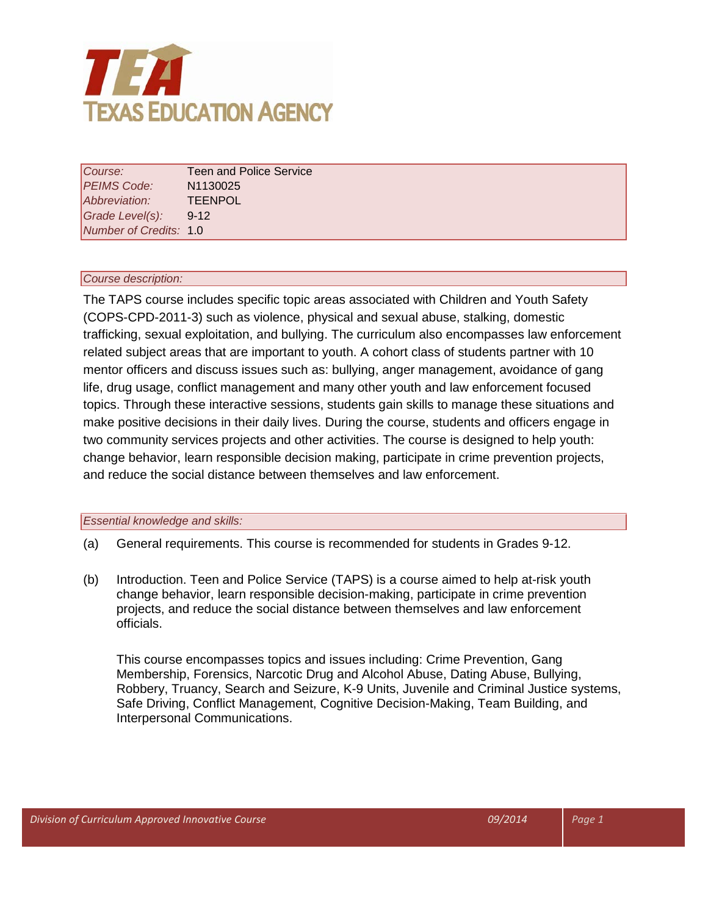

| Course:                | <b>Teen and Police Service</b> |
|------------------------|--------------------------------|
| PEIMS Code:            | N <sub>1130025</sub>           |
| Abbreviation:          | <b>TEENPOL</b>                 |
| Grade Level(s):        | $9 - 12$                       |
| Number of Credits: 1.0 |                                |

#### *Course description:*

The TAPS course includes specific topic areas associated with Children and Youth Safety (COPS-CPD-2011-3) such as violence, physical and sexual abuse, stalking, domestic trafficking, sexual exploitation, and bullying. The curriculum also encompasses law enforcement related subject areas that are important to youth. A cohort class of students partner with 10 mentor officers and discuss issues such as: bullying, anger management, avoidance of gang life, drug usage, conflict management and many other youth and law enforcement focused topics. Through these interactive sessions, students gain skills to manage these situations and make positive decisions in their daily lives. During the course, students and officers engage in two community services projects and other activities. The course is designed to help youth: change behavior, learn responsible decision making, participate in crime prevention projects, and reduce the social distance between themselves and law enforcement.

#### *Essential knowledge and skills:*

- (a) General requirements. This course is recommended for students in Grades 9-12.
- (b) Introduction. Teen and Police Service (TAPS) is a course aimed to help at-risk youth change behavior, learn responsible decision-making, participate in crime prevention projects, and reduce the social distance between themselves and law enforcement officials.

This course encompasses topics and issues including: Crime Prevention, Gang Membership, Forensics, Narcotic Drug and Alcohol Abuse, Dating Abuse, Bullying, Robbery, Truancy, Search and Seizure, K-9 Units, Juvenile and Criminal Justice systems, Safe Driving, Conflict Management, Cognitive Decision-Making, Team Building, and Interpersonal Communications.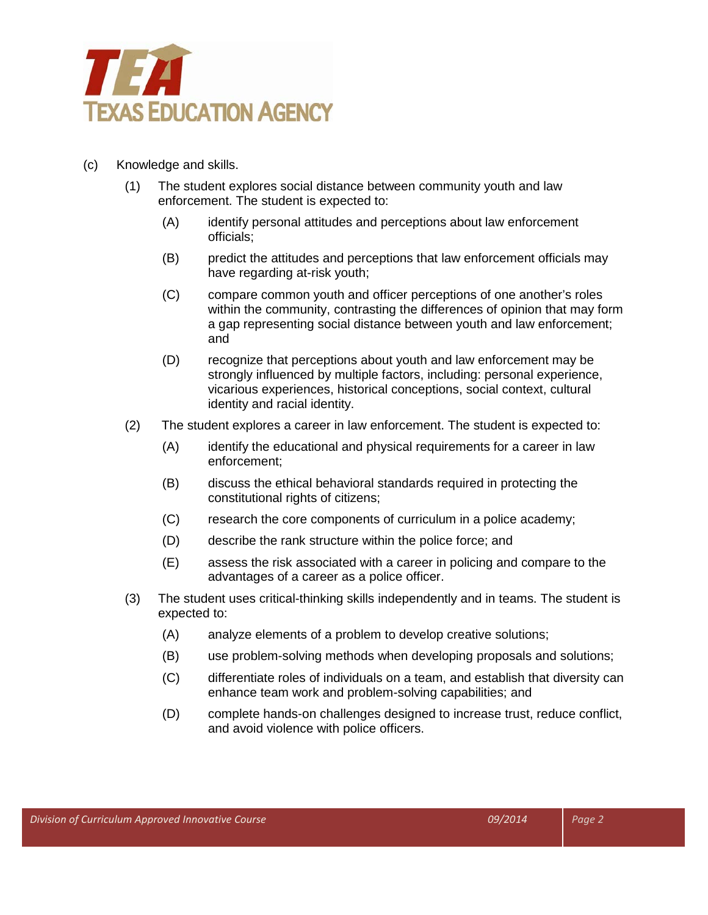

- (c) Knowledge and skills.
	- (1) The student explores social distance between community youth and law enforcement. The student is expected to:
		- (A) identify personal attitudes and perceptions about law enforcement officials;
		- (B) predict the attitudes and perceptions that law enforcement officials may have regarding at-risk youth;
		- (C) compare common youth and officer perceptions of one another's roles within the community, contrasting the differences of opinion that may form a gap representing social distance between youth and law enforcement; and
		- (D) recognize that perceptions about youth and law enforcement may be strongly influenced by multiple factors, including: personal experience, vicarious experiences, historical conceptions, social context, cultural identity and racial identity.
	- (2) The student explores a career in law enforcement. The student is expected to:
		- (A) identify the educational and physical requirements for a career in law enforcement;
		- (B) discuss the ethical behavioral standards required in protecting the constitutional rights of citizens;
		- (C) research the core components of curriculum in a police academy;
		- (D) describe the rank structure within the police force; and
		- (E) assess the risk associated with a career in policing and compare to the advantages of a career as a police officer.
	- (3) The student uses critical-thinking skills independently and in teams. The student is expected to:
		- (A) analyze elements of a problem to develop creative solutions;
		- (B) use problem-solving methods when developing proposals and solutions;
		- (C) differentiate roles of individuals on a team, and establish that diversity can enhance team work and problem-solving capabilities; and
		- (D) complete hands-on challenges designed to increase trust, reduce conflict, and avoid violence with police officers.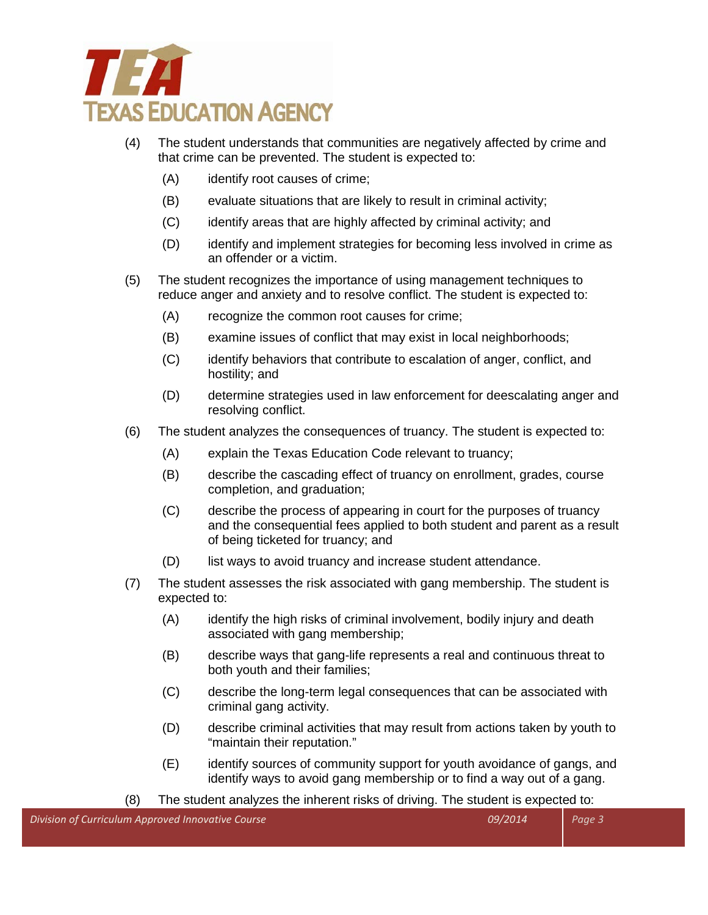

- (4) The student understands that communities are negatively affected by crime and that crime can be prevented. The student is expected to:
	- (A) identify root causes of crime;
	- (B) evaluate situations that are likely to result in criminal activity;
	- (C) identify areas that are highly affected by criminal activity; and
	- (D) identify and implement strategies for becoming less involved in crime as an offender or a victim.
- (5) The student recognizes the importance of using management techniques to reduce anger and anxiety and to resolve conflict. The student is expected to:
	- (A) recognize the common root causes for crime;
	- (B) examine issues of conflict that may exist in local neighborhoods;
	- (C) identify behaviors that contribute to escalation of anger, conflict, and hostility; and
	- (D) determine strategies used in law enforcement for deescalating anger and resolving conflict.
- (6) The student analyzes the consequences of truancy. The student is expected to:
	- (A) explain the Texas Education Code relevant to truancy;
	- (B) describe the cascading effect of truancy on enrollment, grades, course completion, and graduation;
	- (C) describe the process of appearing in court for the purposes of truancy and the consequential fees applied to both student and parent as a result of being ticketed for truancy; and
	- (D) list ways to avoid truancy and increase student attendance.
- (7) The student assesses the risk associated with gang membership. The student is expected to:
	- (A) identify the high risks of criminal involvement, bodily injury and death associated with gang membership;
	- (B) describe ways that gang-life represents a real and continuous threat to both youth and their families;
	- (C) describe the long-term legal consequences that can be associated with criminal gang activity.
	- (D) describe criminal activities that may result from actions taken by youth to "maintain their reputation."
	- (E) identify sources of community support for youth avoidance of gangs, and identify ways to avoid gang membership or to find a way out of a gang.

(8) The student analyzes the inherent risks of driving. The student is expected to: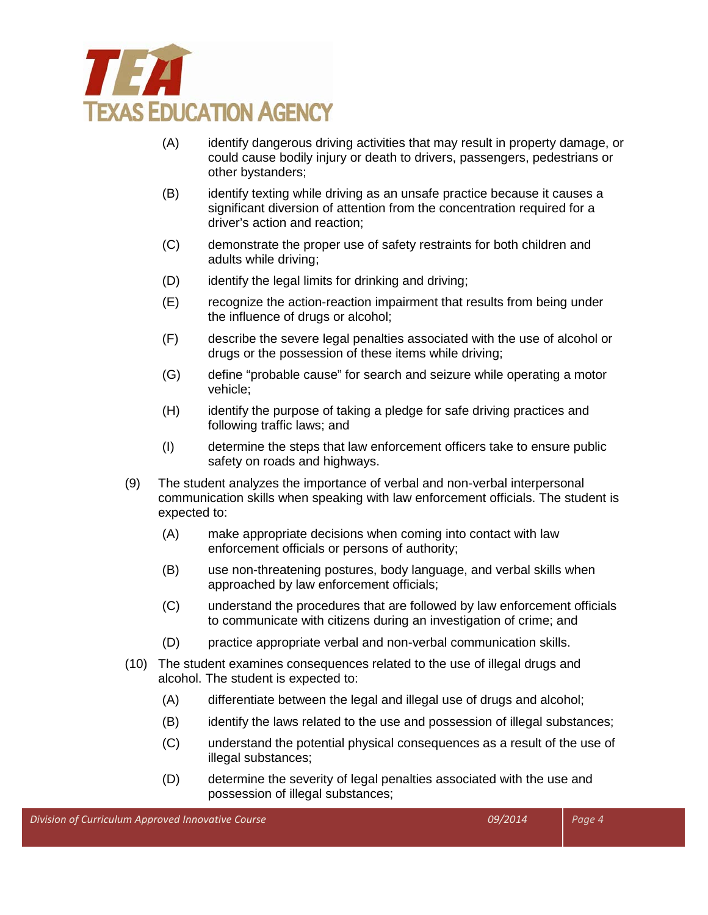

- (A) identify dangerous driving activities that may result in property damage, or could cause bodily injury or death to drivers, passengers, pedestrians or other bystanders;
- (B) identify texting while driving as an unsafe practice because it causes a significant diversion of attention from the concentration required for a driver's action and reaction;
- (C) demonstrate the proper use of safety restraints for both children and adults while driving;
- (D) identify the legal limits for drinking and driving;
- (E) recognize the action-reaction impairment that results from being under the influence of drugs or alcohol;
- (F) describe the severe legal penalties associated with the use of alcohol or drugs or the possession of these items while driving;
- (G) define "probable cause" for search and seizure while operating a motor vehicle;
- (H) identify the purpose of taking a pledge for safe driving practices and following traffic laws; and
- (I) determine the steps that law enforcement officers take to ensure public safety on roads and highways.
- (9) The student analyzes the importance of verbal and non-verbal interpersonal communication skills when speaking with law enforcement officials. The student is expected to:
	- (A) make appropriate decisions when coming into contact with law enforcement officials or persons of authority;
	- (B) use non-threatening postures, body language, and verbal skills when approached by law enforcement officials;
	- (C) understand the procedures that are followed by law enforcement officials to communicate with citizens during an investigation of crime; and
	- (D) practice appropriate verbal and non-verbal communication skills.
- (10) The student examines consequences related to the use of illegal drugs and alcohol. The student is expected to:
	- (A) differentiate between the legal and illegal use of drugs and alcohol;
	- (B) identify the laws related to the use and possession of illegal substances;
	- (C) understand the potential physical consequences as a result of the use of illegal substances;
	- (D) determine the severity of legal penalties associated with the use and possession of illegal substances;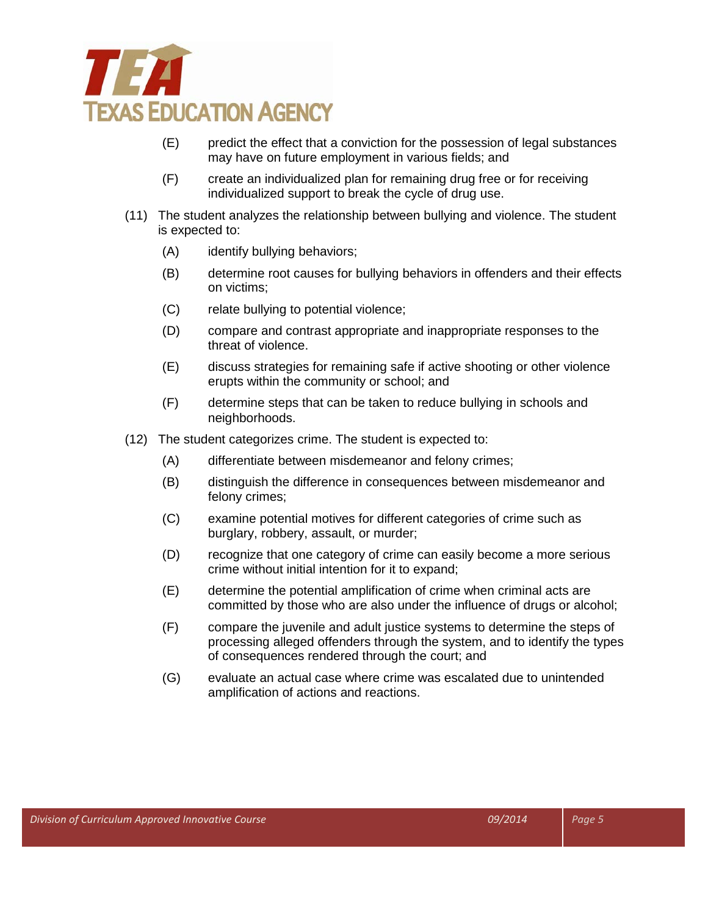

- (E) predict the effect that a conviction for the possession of legal substances may have on future employment in various fields; and
- (F) create an individualized plan for remaining drug free or for receiving individualized support to break the cycle of drug use.
- (11) The student analyzes the relationship between bullying and violence. The student is expected to:
	- (A) identify bullying behaviors;
	- (B) determine root causes for bullying behaviors in offenders and their effects on victims;
	- (C) relate bullying to potential violence;
	- (D) compare and contrast appropriate and inappropriate responses to the threat of violence.
	- (E) discuss strategies for remaining safe if active shooting or other violence erupts within the community or school; and
	- (F) determine steps that can be taken to reduce bullying in schools and neighborhoods.
- (12) The student categorizes crime. The student is expected to:
	- (A) differentiate between misdemeanor and felony crimes;
	- (B) distinguish the difference in consequences between misdemeanor and felony crimes;
	- (C) examine potential motives for different categories of crime such as burglary, robbery, assault, or murder;
	- (D) recognize that one category of crime can easily become a more serious crime without initial intention for it to expand;
	- (E) determine the potential amplification of crime when criminal acts are committed by those who are also under the influence of drugs or alcohol;
	- (F) compare the juvenile and adult justice systems to determine the steps of processing alleged offenders through the system, and to identify the types of consequences rendered through the court; and
	- (G) evaluate an actual case where crime was escalated due to unintended amplification of actions and reactions.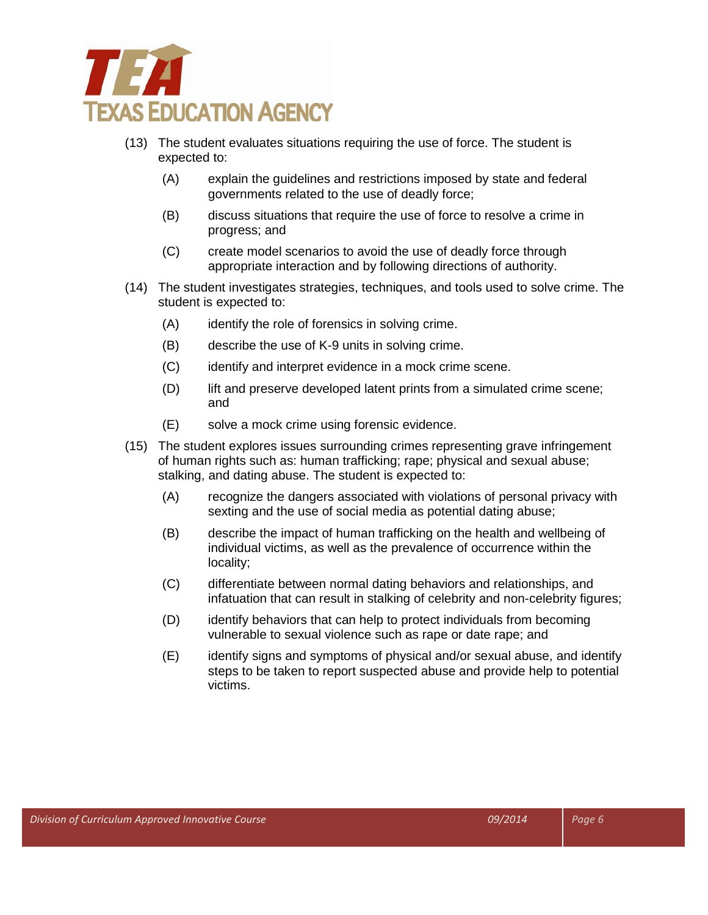

- (13) The student evaluates situations requiring the use of force. The student is expected to:
	- (A) explain the guidelines and restrictions imposed by state and federal governments related to the use of deadly force;
	- (B) discuss situations that require the use of force to resolve a crime in progress; and
	- (C) create model scenarios to avoid the use of deadly force through appropriate interaction and by following directions of authority.
- (14) The student investigates strategies, techniques, and tools used to solve crime. The student is expected to:
	- (A) identify the role of forensics in solving crime.
	- (B) describe the use of K-9 units in solving crime.
	- (C) identify and interpret evidence in a mock crime scene.
	- (D) lift and preserve developed latent prints from a simulated crime scene; and
	- (E) solve a mock crime using forensic evidence.
- (15) The student explores issues surrounding crimes representing grave infringement of human rights such as: human trafficking; rape; physical and sexual abuse; stalking, and dating abuse. The student is expected to:
	- (A) recognize the dangers associated with violations of personal privacy with sexting and the use of social media as potential dating abuse;
	- (B) describe the impact of human trafficking on the health and wellbeing of individual victims, as well as the prevalence of occurrence within the locality;
	- (C) differentiate between normal dating behaviors and relationships, and infatuation that can result in stalking of celebrity and non-celebrity figures;
	- (D) identify behaviors that can help to protect individuals from becoming vulnerable to sexual violence such as rape or date rape; and
	- (E) identify signs and symptoms of physical and/or sexual abuse, and identify steps to be taken to report suspected abuse and provide help to potential victims.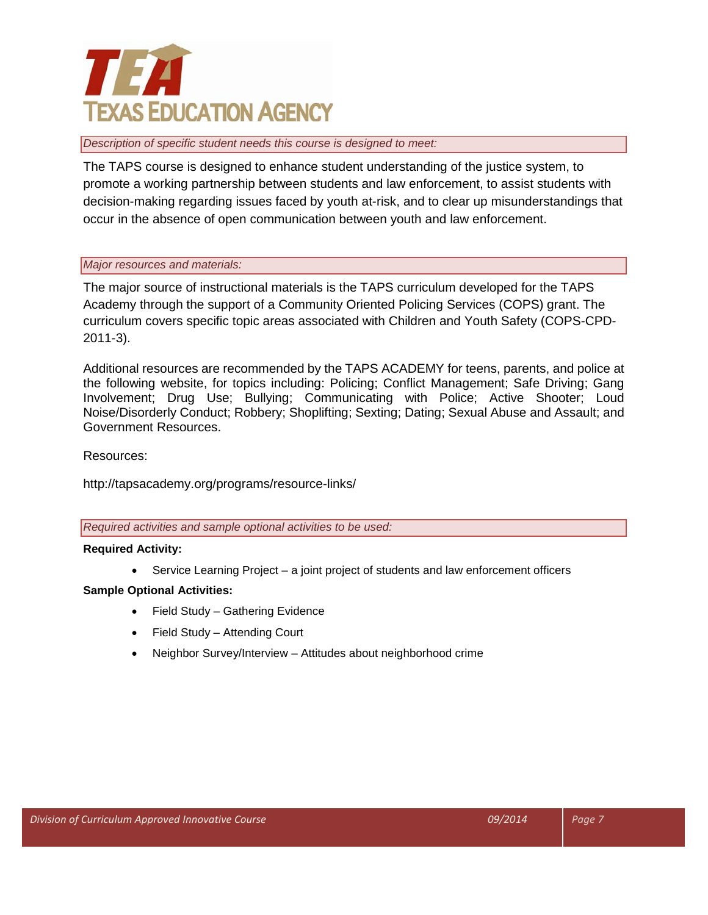# **TEXE TEXAS EDUCATION AGENCY**

#### *Description of specific student needs this course is designed to meet:*

The TAPS course is designed to enhance student understanding of the justice system, to promote a working partnership between students and law enforcement, to assist students with decision-making regarding issues faced by youth at-risk, and to clear up misunderstandings that occur in the absence of open communication between youth and law enforcement.

#### *Major resources and materials:*

The major source of instructional materials is the TAPS curriculum developed for the TAPS Academy through the support of a Community Oriented Policing Services (COPS) grant. The curriculum covers specific topic areas associated with Children and Youth Safety (COPS-CPD-2011-3).

Additional resources are recommended by the TAPS ACADEMY for teens, parents, and police at the following website, for topics including: Policing; Conflict Management; Safe Driving; Gang Involvement; Drug Use; Bullying; Communicating with Police; Active Shooter; Loud Noise/Disorderly Conduct; Robbery; Shoplifting; Sexting; Dating; Sexual Abuse and Assault; and Government Resources.

### Resources:

http://tapsacademy.org/programs/resource-links/

*Required activities and sample optional activities to be used:*

#### **Required Activity:**

• Service Learning Project – a joint project of students and law enforcement officers

## **Sample Optional Activities:**

- Field Study Gathering Evidence
- Field Study Attending Court
- Neighbor Survey/Interview Attitudes about neighborhood crime